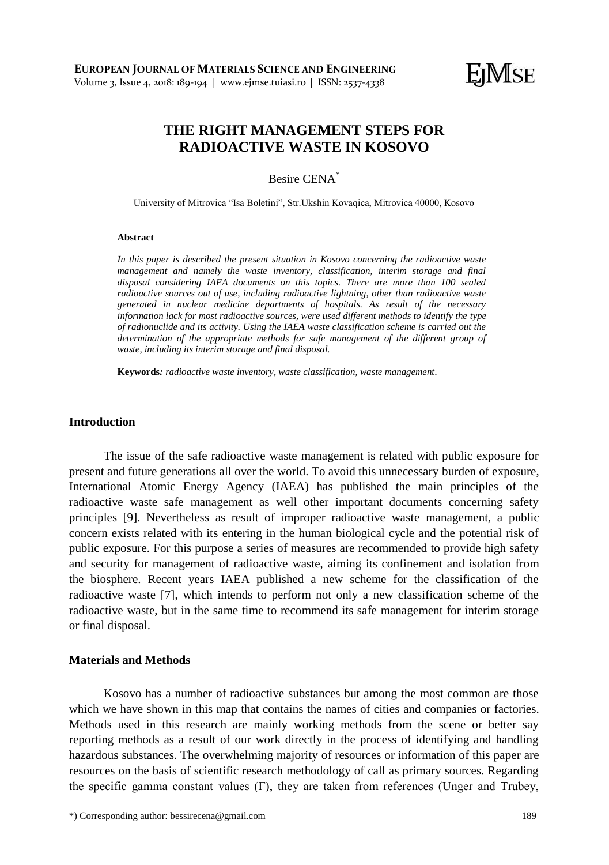# **THE RIGHT MANAGEMENT STEPS FOR RADIOACTIVE WASTE IN KOSOVO**

Besire CENA\*

University of Mitrovica "Isa Boletini", Str.Ukshin Kovaqica, Mitrovica 40000, Kosovo

#### **Abstract**

*In this paper is described the present situation in Kosovo concerning the radioactive waste management and namely the waste inventory, classification, interim storage and final disposal considering IAEA documents on this topics. There are more than 100 sealed radioactive sources out of use, including radioactive lightning, other than radioactive waste generated in nuclear medicine departments of hospitals. As result of the necessary information lack for most radioactive sources, were used different methods to identify the type of radionuclide and its activity. Using the IAEA waste classification scheme is carried out the determination of the appropriate methods for safe management of the different group of waste, including its interim storage and final disposal.*

**Keywords***: radioactive waste inventory, waste classification, waste management.*

# **Introduction**

The issue of the safe radioactive waste management is related with public exposure for present and future generations all over the world. To avoid this unnecessary burden of exposure, International Atomic Energy Agency (IAEA) has published the main principles of the radioactive waste safe management as well other important documents concerning safety principles [9]. Nevertheless as result of improper radioactive waste management, a public concern exists related with its entering in the human biological cycle and the potential risk of public exposure. For this purpose a series of measures are recommended to provide high safety and security for management of radioactive waste, aiming its confinement and isolation from the biosphere. Recent years IAEA published a new scheme for the classification of the radioactive waste [7], which intends to perform not only a new classification scheme of the radioactive waste, but in the same time to recommend its safe management for interim storage or final disposal.

#### **Materials and Methods**

Kosovo has a number of radioactive substances but among the most common are those which we have shown in this map that contains the names of cities and companies or factories. Methods used in this research are mainly working methods from the scene or better say reporting methods as a result of our work directly in the process of identifying and handling hazardous substances. The overwhelming majority of resources or information of this paper are resources on the basis of scientific research methodology of call as primary sources. Regarding the specific gamma constant values (Γ), they are taken from references (Unger and Trubey,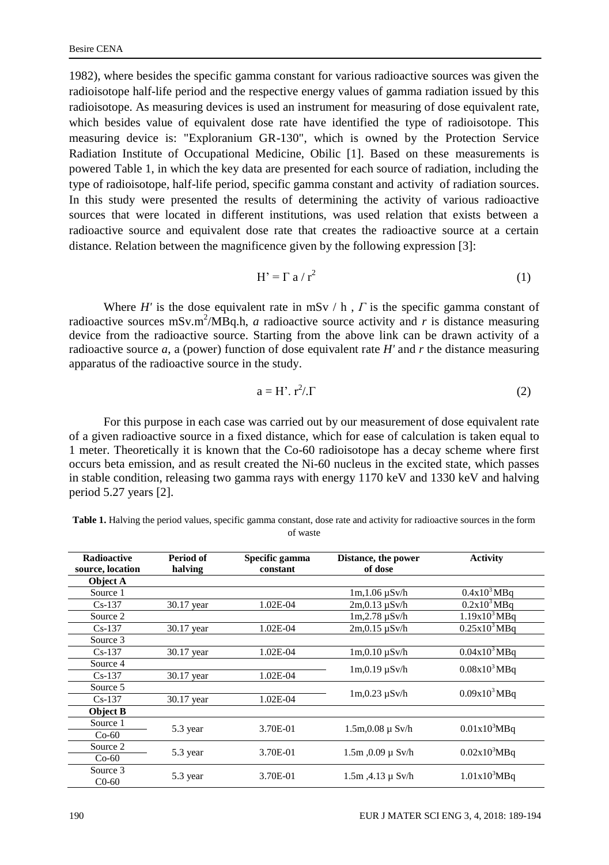1982), where besides the specific gamma constant for various radioactive sources was given the radioisotope half-life period and the respective energy values of gamma radiation issued by this radioisotope. As measuring devices is used an instrument for measuring of dose equivalent rate, which besides value of equivalent dose rate have identified the type of radioisotope. This measuring device is: "Exploranium GR-130", which is owned by the Protection Service Radiation Institute of Occupational Medicine, Obilic [1]. Based on these measurements is powered Table 1, in which the key data are presented for each source of radiation, including the type of radioisotope, half-life period, specific gamma constant and activity of radiation sources. In this study were presented the results of determining the activity of various radioactive sources that were located in different institutions, was used relation that exists between a radioactive source and equivalent dose rate that creates the radioactive source at a certain distance. Relation between the magnificence given by the following expression [3]:

$$
H' = \Gamma a / r^2
$$
 (1)

Where *H'* is the dose equivalent rate in mSv / h , *Γ* is the specific gamma constant of radioactive sources mSv.m<sup>2</sup>/MBq.h, *a* radioactive source activity and *r* is distance measuring device from the radioactive source. Starting from the above link can be drawn activity of a radioactive source  $a$ , a (power) function of dose equivalent rate  $H'$  and  $r$  the distance measuring apparatus of the radioactive source in the study.

$$
a = H' \cdot r^2 / \Gamma \tag{2}
$$

For this purpose in each case was carried out by our measurement of dose equivalent rate of a given radioactive source in a fixed distance, which for ease of calculation is taken equal to 1 meter. Theoretically it is known that the Co-60 radioisotope has a decay scheme where first occurs beta emission, and as result created the Ni-60 nucleus in the excited state, which passes in stable condition, releasing two gamma rays with energy 1170 keV and 1330 keV and halving period 5.27 years [2].

| <b>Table 1.</b> Halving the period values, specific gamma constant, dose rate and activity for radioactive sources in the form |
|--------------------------------------------------------------------------------------------------------------------------------|
| of waste                                                                                                                       |

| <b>Radioactive</b> | Period of  | Specific gamma | Distance, the power      | <b>Activity</b>          |                          |
|--------------------|------------|----------------|--------------------------|--------------------------|--------------------------|
| source, location   | halving    | constant       | of dose                  |                          |                          |
| <b>Object A</b>    |            |                |                          |                          |                          |
| Source 1           |            |                | $1m, 1.06$ $\mu$ Sv/h    | 0.4x10 <sup>3</sup> MBa  |                          |
| $Cs-137$           | 30.17 year | 1.02E-04       | $2m, 0.13$ $\mu$ Sv/h    | 0.2x10 <sup>3</sup> MBq  |                          |
| Source 2           |            |                | $1m, 2.78 \mu Sv/h$      | 1.19x10 <sup>3</sup> MBq |                          |
| $Cs-137$           | 30.17 year | 1.02E-04       | $2m,0.15 \mu Sv/h$       | 0.25x10 <sup>3</sup> MBq |                          |
| Source 3           |            |                |                          |                          |                          |
| $Cs-137$           | 30.17 year | $1.02E-04$     | $1m,0.10 \mu Sv/h$       | $0.04x103$ MBa           |                          |
| Source 4           |            |                | $1m, 0.19 \mu Sv/h$      | 0.08x10 <sup>3</sup> MBq |                          |
| $Cs-137$           | 30.17 year | $1.02E-04$     |                          |                          |                          |
| Source 5           |            |                | $1m, 0.23 \mu Sv/h$      | 0.09x10 <sup>3</sup> MBq |                          |
| $Cs-137$           | 30.17 year | 1.02E-04       |                          |                          |                          |
| <b>Object B</b>    |            |                |                          |                          |                          |
| Source 1           | 5.3 year   | 3.70E-01       | $1.5m, 0.08 \mu$ Sv/h    | 0.01x10 <sup>3</sup> MBq |                          |
| $Co-60$            |            |                |                          |                          |                          |
| Source 2           | 5.3 year   |                | 3.70E-01                 | $1.5m$ , 0.09 $\mu$ Sv/h | 0.02x10 <sup>3</sup> MBq |
| $Co-60$            |            |                |                          |                          |                          |
| Source 3           | 5.3 year   | 3.70E-01       | $1.5m$ , $4.13 \mu$ Sv/h | 1.01x10 <sup>3</sup> MBq |                          |
| $C0-60$            |            |                |                          |                          |                          |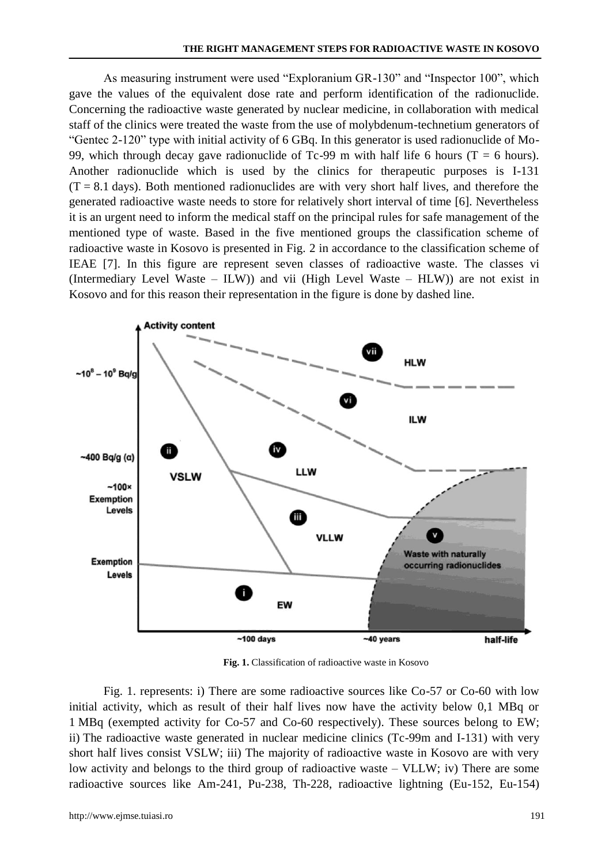As measuring instrument were used "Exploranium GR-130" and "Inspector 100", which gave the values of the equivalent dose rate and perform identification of the radionuclide. Concerning the radioactive waste generated by nuclear medicine, in collaboration with medical staff of the clinics were treated the waste from the use of molybdenum-technetium generators of "Gentec 2-120" type with initial activity of 6 GBq. In this generator is used radionuclide of Mo-99, which through decay gave radionuclide of Tc-99 m with half life 6 hours (T = 6 hours). Another radionuclide which is used by the clinics for therapeutic purposes is I-131  $(T = 8.1$  days). Both mentioned radionuclides are with very short half lives, and therefore the generated radioactive waste needs to store for relatively short interval of time [6]. Nevertheless it is an urgent need to inform the medical staff on the principal rules for safe management of the mentioned type of waste. Based in the five mentioned groups the classification scheme of radioactive waste in Kosovo is presented in Fig. 2 in accordance to the classification scheme of IEAE [7]. In this figure are represent seven classes of radioactive waste. The classes vi (Intermediary Level Waste – ILW)) and vii (High Level Waste – HLW)) are not exist in Kosovo and for this reason their representation in the figure is done by dashed line.



**Fig. 1.** Classification of radioactive waste in Kosovo

Fig. 1. represents: i) There are some radioactive sources like Co-57 or Co-60 with low initial activity, which as result of their half lives now have the activity below 0,1 MBq or 1 MBq (exempted activity for Co-57 and Co-60 respectively). These sources belong to EW; ii) The radioactive waste generated in nuclear medicine clinics (Tc-99m and I-131) with very short half lives consist VSLW; iii) The majority of radioactive waste in Kosovo are with very low activity and belongs to the third group of radioactive waste – VLLW; iv) There are some radioactive sources like Am-241, Pu-238, Th-228, radioactive lightning (Eu-152, Eu-154)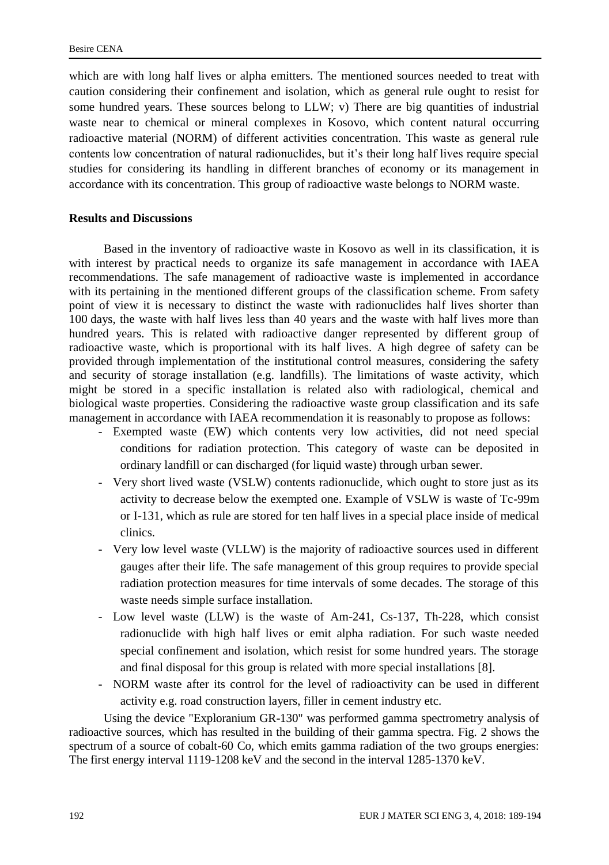which are with long half lives or alpha emitters. The mentioned sources needed to treat with caution considering their confinement and isolation, which as general rule ought to resist for some hundred years. These sources belong to LLW; v) There are big quantities of industrial waste near to chemical or mineral complexes in Kosovo, which content natural occurring radioactive material (NORM) of different activities concentration. This waste as general rule contents low concentration of natural radionuclides, but it's their long half lives require special studies for considering its handling in different branches of economy or its management in accordance with its concentration. This group of radioactive waste belongs to NORM waste.

### **Results and Discussions**

Based in the inventory of radioactive waste in Kosovo as well in its classification, it is with interest by practical needs to organize its safe management in accordance with IAEA recommendations. The safe management of radioactive waste is implemented in accordance with its pertaining in the mentioned different groups of the classification scheme. From safety point of view it is necessary to distinct the waste with radionuclides half lives shorter than 100 days, the waste with half lives less than 40 years and the waste with half lives more than hundred years. This is related with radioactive danger represented by different group of radioactive waste, which is proportional with its half lives. A high degree of safety can be provided through implementation of the institutional control measures, considering the safety and security of storage installation (e.g. landfills). The limitations of waste activity, which might be stored in a specific installation is related also with radiological, chemical and biological waste properties. Considering the radioactive waste group classification and its safe management in accordance with IAEA recommendation it is reasonably to propose as follows:

- Exempted waste (EW) which contents very low activities, did not need special conditions for radiation protection. This category of waste can be deposited in ordinary landfill or can discharged (for liquid waste) through urban sewer.
- Very short lived waste (VSLW) contents radionuclide, which ought to store just as its activity to decrease below the exempted one. Example of VSLW is waste of Tc-99m or I-131, which as rule are stored for ten half lives in a special place inside of medical clinics.
- Very low level waste (VLLW) is the majority of radioactive sources used in different gauges after their life. The safe management of this group requires to provide special radiation protection measures for time intervals of some decades. The storage of this waste needs simple surface installation.
- Low level waste (LLW) is the waste of Am-241, Cs-137, Th-228, which consist radionuclide with high half lives or emit alpha radiation. For such waste needed special confinement and isolation, which resist for some hundred years. The storage and final disposal for this group is related with more special installations [8].
- NORM waste after its control for the level of radioactivity can be used in different activity e.g. road construction layers, filler in cement industry etc.

Using the device "Exploranium GR-130" was performed gamma spectrometry analysis of radioactive sources, which has resulted in the building of their gamma spectra. Fig. 2 shows the spectrum of a source of cobalt-60 Co, which emits gamma radiation of the two groups energies: The first energy interval 1119-1208 keV and the second in the interval 1285-1370 keV.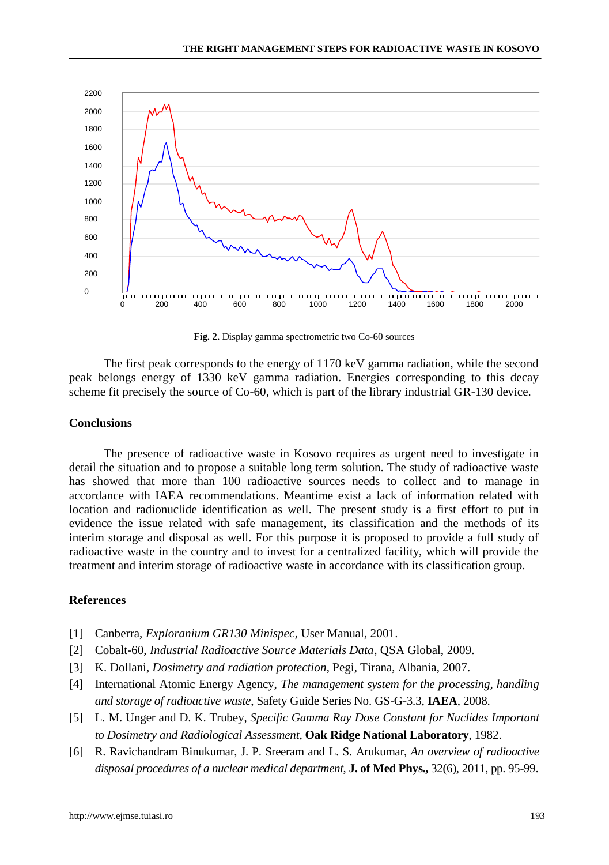

**Fig. 2.** Display gamma spectrometric two Co-60 sources

The first peak corresponds to the energy of 1170 keV gamma radiation, while the second peak belongs energy of 1330 keV gamma radiation. Energies corresponding to this decay scheme fit precisely the source of Co-60, which is part of the library industrial GR-130 device.

## **Conclusions**

The presence of radioactive waste in Kosovo requires as urgent need to investigate in detail the situation and to propose a suitable long term solution. The study of radioactive waste has showed that more than 100 radioactive sources needs to collect and to manage in accordance with IAEA recommendations. Meantime exist a lack of information related with location and radionuclide identification as well. The present study is a first effort to put in evidence the issue related with safe management, its classification and the methods of its interim storage and disposal as well. For this purpose it is proposed to provide a full study of radioactive waste in the country and to invest for a centralized facility, which will provide the treatment and interim storage of radioactive waste in accordance with its classification group.

## **References**

- [1] Canberra, *Exploranium GR130 Minispec*, User Manual, 2001.
- [2] Cobalt-60, *Industrial Radioactive Source Materials Data*, QSA Global, 2009.
- [3] K. Dollani, *Dosimetry and radiation protection*, Pegi, Tirana, Albania, 2007.
- [4] International Atomic Energy Agency, *The management system for the processing, handling and storage of radioactive waste*, Safety Guide Series No. GS-G-3.3, **IAEA**, 2008.
- [5] L. M. Unger and D. K. Trubey, *Specific Gamma Ray Dose Constant for Nuclides Important to Dosimetry and Radiological Assessment*, **Oak Ridge National Laboratory**, 1982.
- [6] R. Ravichandram Binukumar, J. P. Sreeram and L. S. Arukumar, *An overview of radioactive disposal procedures of a nuclear medical department*, **J. of Med Phys.,** 32(6), 2011, pp. 95-99.